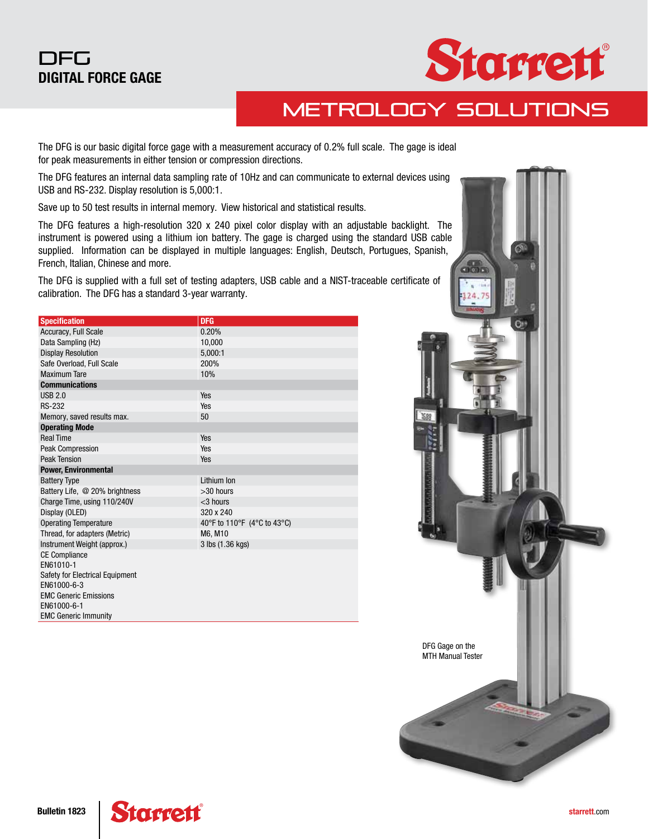### DFG DIGITAL FORCE GAGE



## Metrology Solutions

The DFG is our basic digital force gage with a measurement accuracy of 0.2% full scale. The gage is ideal for peak measurements in either tension or compression directions.

The DFG features an internal data sampling rate of 10Hz and can communicate to external devices using USB and RS-232. Display resolution is 5,000:1.

Save up to 50 test results in internal memory. View historical and statistical results.

The DFG features a high-resolution 320 x 240 pixel color display with an adjustable backlight. The instrument is powered using a lithium ion battery. The gage is charged using the standard USB cable supplied. Information can be displayed in multiple languages: English, Deutsch, Portugues, Spanish, French, Italian, Chinese and more.

The DFG is supplied with a full set of testing adapters, USB cable and a NIST-traceable certificate of calibration. The DFG has a standard 3-year warranty.

| <b>Specification</b>            | <b>DFG</b>                  |  |  |  |  |
|---------------------------------|-----------------------------|--|--|--|--|
| Accuracy, Full Scale            | 0.20%                       |  |  |  |  |
| Data Sampling (Hz)              | 10,000                      |  |  |  |  |
| <b>Display Resolution</b>       | 5,000:1                     |  |  |  |  |
| Safe Overload, Full Scale       | 200%                        |  |  |  |  |
| Maximum Tare                    | 10%                         |  |  |  |  |
| <b>Communications</b>           |                             |  |  |  |  |
| <b>USB 2.0</b>                  | Yes                         |  |  |  |  |
| <b>RS-232</b>                   | Yes                         |  |  |  |  |
| Memory, saved results max.      | 50                          |  |  |  |  |
| <b>Operating Mode</b>           |                             |  |  |  |  |
| <b>Real Time</b>                | Yes                         |  |  |  |  |
| <b>Peak Compression</b>         | Yes                         |  |  |  |  |
| <b>Peak Tension</b>             | Yes                         |  |  |  |  |
| <b>Power, Environmental</b>     |                             |  |  |  |  |
| <b>Battery Type</b>             | Lithium Ion                 |  |  |  |  |
| Battery Life, @ 20% brightness  | $>30$ hours                 |  |  |  |  |
| Charge Time, using 110/240V     | $<$ 3 hours                 |  |  |  |  |
| Display (OLED)                  | 320 x 240                   |  |  |  |  |
| <b>Operating Temperature</b>    | 40°F to 110°F (4°C to 43°C) |  |  |  |  |
| Thread, for adapters (Metric)   | M6, M10                     |  |  |  |  |
| Instrument Weight (approx.)     | 3 lbs (1.36 kgs)            |  |  |  |  |
| <b>CE Compliance</b>            |                             |  |  |  |  |
| EN61010-1                       |                             |  |  |  |  |
| Safety for Electrical Equipment |                             |  |  |  |  |
| EN61000-6-3                     |                             |  |  |  |  |
| <b>EMC Generic Emissions</b>    |                             |  |  |  |  |
| EN61000-6-1                     |                             |  |  |  |  |
| <b>EMC Generic Immunity</b>     |                             |  |  |  |  |